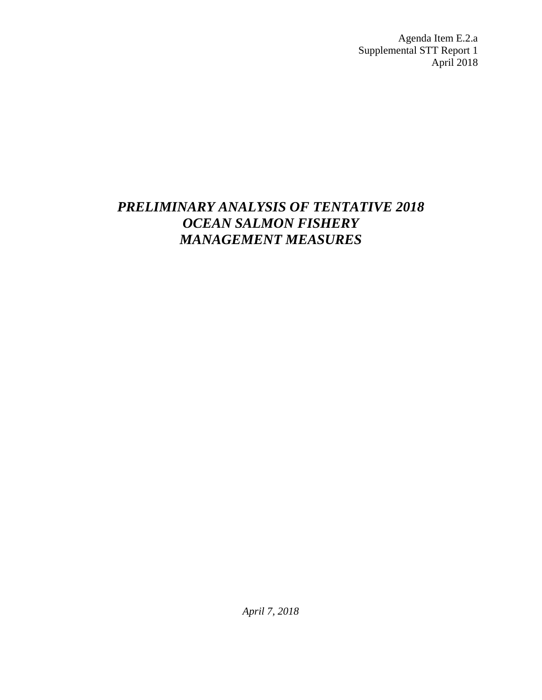Agenda Item E.2.a Supplemental STT Report 1 April 2018

# *PRELIMINARY ANALYSIS OF TENTATIVE 2018 OCEAN SALMON FISHERY MANAGEMENT MEASURES*

*April 7, 2018*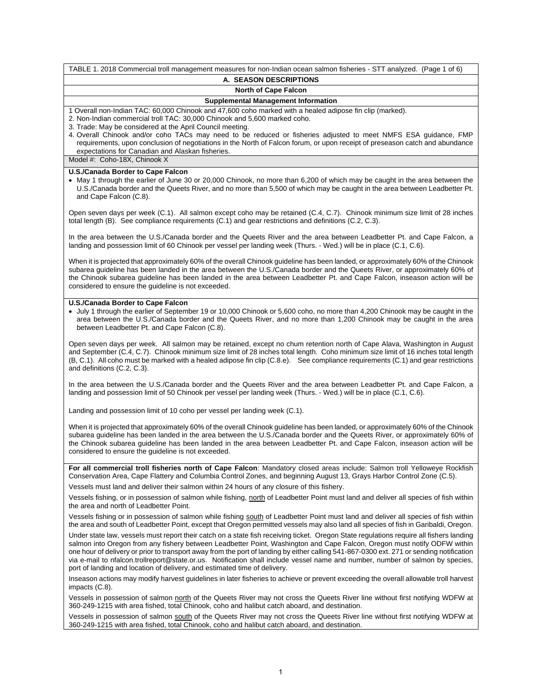| TABLE 1. 2018 Commercial troll management measures for non-Indian ocean salmon fisheries - STT analyzed. (Page 1 of 6)                                                                                                                                                                                                                                                                                                                                                                                                                                                                                                         |
|--------------------------------------------------------------------------------------------------------------------------------------------------------------------------------------------------------------------------------------------------------------------------------------------------------------------------------------------------------------------------------------------------------------------------------------------------------------------------------------------------------------------------------------------------------------------------------------------------------------------------------|
| A. SEASON DESCRIPTIONS                                                                                                                                                                                                                                                                                                                                                                                                                                                                                                                                                                                                         |
| <b>North of Cape Falcon</b>                                                                                                                                                                                                                                                                                                                                                                                                                                                                                                                                                                                                    |
| <b>Supplemental Management Information</b>                                                                                                                                                                                                                                                                                                                                                                                                                                                                                                                                                                                     |
| 1 Overall non-Indian TAC: 60,000 Chinook and 47,600 coho marked with a healed adipose fin clip (marked).<br>2. Non-Indian commercial troll TAC: 30,000 Chinook and 5,600 marked coho.<br>3. Trade: May be considered at the April Council meeting.<br>4. Overall Chinook and/or coho TACs may need to be reduced or fisheries adjusted to meet NMFS ESA guidance, FMP<br>requirements, upon conclusion of negotiations in the North of Falcon forum, or upon receipt of preseason catch and abundance<br>expectations for Canadian and Alaskan fisheries.<br>Model #: Coho-18X, Chinook X                                      |
| U.S./Canada Border to Cape Falcon                                                                                                                                                                                                                                                                                                                                                                                                                                                                                                                                                                                              |
| • May 1 through the earlier of June 30 or 20,000 Chinook, no more than 6,200 of which may be caught in the area between the<br>U.S./Canada border and the Queets River, and no more than 5,500 of which may be caught in the area between Leadbetter Pt.<br>and Cape Falcon (C.8).                                                                                                                                                                                                                                                                                                                                             |
| Open seven days per week (C.1). All salmon except coho may be retained (C.4, C.7). Chinook minimum size limit of 28 inches<br>total length (B). See compliance requirements (C.1) and gear restrictions and definitions (C.2, C.3).                                                                                                                                                                                                                                                                                                                                                                                            |
| In the area between the U.S./Canada border and the Queets River and the area between Leadbetter Pt. and Cape Falcon, a<br>landing and possession limit of 60 Chinook per vessel per landing week (Thurs. - Wed.) will be in place (C.1, C.6).                                                                                                                                                                                                                                                                                                                                                                                  |
| When it is projected that approximately 60% of the overall Chinook guideline has been landed, or approximately 60% of the Chinook<br>subarea guideline has been landed in the area between the U.S./Canada border and the Queets River, or approximately 60% of<br>the Chinook subarea guideline has been landed in the area between Leadbetter Pt. and Cape Falcon, inseason action will be<br>considered to ensure the guideline is not exceeded.                                                                                                                                                                            |
| U.S./Canada Border to Cape Falcon                                                                                                                                                                                                                                                                                                                                                                                                                                                                                                                                                                                              |
| • July 1 through the earlier of September 19 or 10,000 Chinook or 5,600 coho, no more than 4,200 Chinook may be caught in the<br>area between the U.S./Canada border and the Queets River, and no more than 1,200 Chinook may be caught in the area<br>between Leadbetter Pt. and Cape Falcon (C.8).                                                                                                                                                                                                                                                                                                                           |
| Open seven days per week. All salmon may be retained, except no chum retention north of Cape Alava, Washington in August<br>and September (C.4, C.7). Chinook minimum size limit of 28 inches total length. Coho minimum size limit of 16 inches total length<br>(B, C.1). All coho must be marked with a healed adipose fin clip (C.8.e). See compliance requirements (C.1) and gear restrictions<br>and definitions (C.2, C.3).                                                                                                                                                                                              |
| In the area between the U.S./Canada border and the Queets River and the area between Leadbetter Pt. and Cape Falcon, a<br>landing and possession limit of 50 Chinook per vessel per landing week (Thurs. - Wed.) will be in place (C.1, C.6).                                                                                                                                                                                                                                                                                                                                                                                  |
| Landing and possession limit of 10 coho per vessel per landing week (C.1).                                                                                                                                                                                                                                                                                                                                                                                                                                                                                                                                                     |
| When it is projected that approximately 60% of the overall Chinook guideline has been landed, or approximately 60% of the Chinook<br>subarea guideline has been landed in the area between the U.S./Canada border and the Queets River, or approximately 60% of<br>the Chinook subarea guideline has been landed in the area between Leadbetter Pt. and Cape Falcon, inseason action will be<br>considered to ensure the guideline is not exceeded.                                                                                                                                                                            |
| For all commercial troll fisheries north of Cape Falcon: Mandatory closed areas include: Salmon troll Yelloweye Rockfish<br>Conservation Area, Cape Flattery and Columbia Control Zones, and beginning August 13, Grays Harbor Control Zone (C.5).                                                                                                                                                                                                                                                                                                                                                                             |
| Vessels must land and deliver their salmon within 24 hours of any closure of this fishery.                                                                                                                                                                                                                                                                                                                                                                                                                                                                                                                                     |
| Vessels fishing, or in possession of salmon while fishing, north of Leadbetter Point must land and deliver all species of fish within<br>the area and north of Leadbetter Point.                                                                                                                                                                                                                                                                                                                                                                                                                                               |
| Vessels fishing or in possession of salmon while fishing south of Leadbetter Point must land and deliver all species of fish within<br>the area and south of Leadbetter Point, except that Oregon permitted vessels may also land all species of fish in Garibaldi, Oregon.                                                                                                                                                                                                                                                                                                                                                    |
| Under state law, vessels must report their catch on a state fish receiving ticket. Oregon State regulations require all fishers landing<br>salmon into Oregon from any fishery between Leadbetter Point, Washington and Cape Falcon, Oregon must notify ODFW within<br>one hour of delivery or prior to transport away from the port of landing by either calling 541-867-0300 ext. 271 or sending notification<br>via e-mail to nfalcon.trollreport@state.or.us. Notification shall include vessel name and number, number of salmon by species,<br>port of landing and location of delivery, and estimated time of delivery. |
| Inseason actions may modify harvest guidelines in later fisheries to achieve or prevent exceeding the overall allowable troll harvest<br>impacts (C.8).                                                                                                                                                                                                                                                                                                                                                                                                                                                                        |
| Vessels in possession of salmon north of the Queets River may not cross the Queets River line without first notifying WDFW at<br>360-249-1215 with area fished, total Chinook, coho and halibut catch aboard, and destination.                                                                                                                                                                                                                                                                                                                                                                                                 |
| Vessels in possession of salmon south of the Queets River may not cross the Queets River line without first notifying WDFW at<br>360-249-1215 with area fished, total Chinook, coho and halibut catch aboard, and destination.                                                                                                                                                                                                                                                                                                                                                                                                 |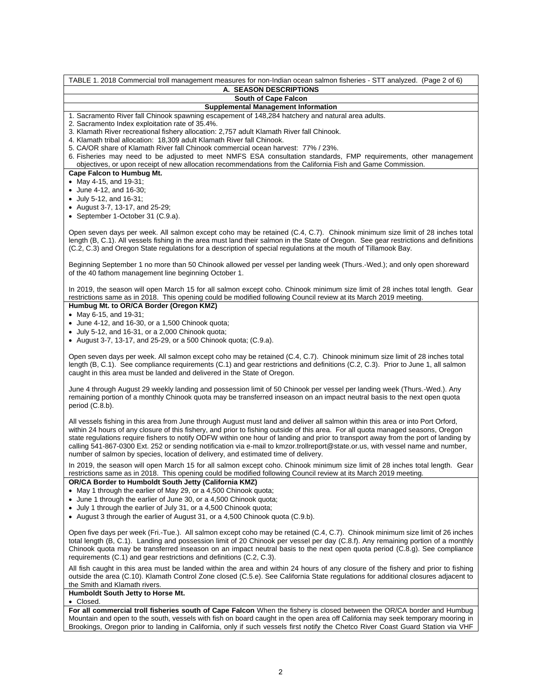TABLE 1. 2018 Commercial troll management measures for non-Indian ocean salmon fisheries - STT analyzed. (Page 2 of 6) **A. SEASON DESCRIPTIONS South of Cape Falcon Supplemental Management Information** 1. Sacramento River fall Chinook spawning escapement of 148,284 hatchery and natural area adults. 2. Sacramento Index exploitation rate of 35.4%. 3. Klamath River recreational fishery allocation: 2,757 adult Klamath River fall Chinook. 4. Klamath tribal allocation: 18,309 adult Klamath River fall Chinook. 5. CA/OR share of Klamath River fall Chinook commercial ocean harvest: 77% / 23%. 6. Fisheries may need to be adjusted to meet NMFS ESA consultation standards, FMP requirements, other management objectives, or upon receipt of new allocation recommendations from the California Fish and Game Commission. **Cape Falcon to Humbug Mt.** May 4-15, and 19-31; June 4-12, and 16-30; July 5-12, and 16-31; August 3-7, 13-17, and 25-29; • September 1-October 31 (C.9.a). Open seven days per week. All salmon except coho may be retained (C.4, C.7). Chinook minimum size limit of 28 inches total length (B, C.1). All vessels fishing in the area must land their salmon in the State of Oregon. See gear restrictions and definitions (C.2, C.3) and Oregon State regulations for a description of special regulations at the mouth of Tillamook Bay. Beginning September 1 no more than 50 Chinook allowed per vessel per landing week (Thurs.-Wed.); and only open shoreward of the 40 fathom management line beginning October 1. In 2019, the season will open March 15 for all salmon except coho. Chinook minimum size limit of 28 inches total length. Gear restrictions same as in 2018. This opening could be modified following Council review at its March 2019 meeting. **Humbug Mt. to OR/CA Border (Oregon KMZ)** May 6-15, and 19-31; June 4-12, and 16-30, or a 1,500 Chinook quota; July 5-12, and 16-31, or a 2,000 Chinook quota; • August 3-7, 13-17, and 25-29, or a 500 Chinook quota;  $(C.9.a)$ . Open seven days per week. All salmon except coho may be retained (C.4, C.7). Chinook minimum size limit of 28 inches total length (B, C.1). See compliance requirements (C.1) and gear restrictions and definitions (C.2, C.3). Prior to June 1, all salmon caught in this area must be landed and delivered in the State of Oregon. June 4 through August 29 weekly landing and possession limit of 50 Chinook per vessel per landing week (Thurs.-Wed.). Any remaining portion of a monthly Chinook quota may be transferred inseason on an impact neutral basis to the next open quota period (C.8.b). All vessels fishing in this area from June through August must land and deliver all salmon within this area or into Port Orford, within 24 hours of any closure of this fishery, and prior to fishing outside of this area. For all quota managed seasons, Oregon state regulations require fishers to notify ODFW within one hour of landing and prior to transport away from the port of landing by calling 541-867-0300 Ext. 252 or sending notification via e-mail to kmzor.trollreport@state.or.us, with vessel name and number, number of salmon by species, location of delivery, and estimated time of delivery. In 2019, the season will open March 15 for all salmon except coho. Chinook minimum size limit of 28 inches total length. Gear restrictions same as in 2018. This opening could be modified following Council review at its March 2019 meeting. **OR/CA Border to Humboldt South Jetty (California KMZ)** • May 1 through the earlier of May 29, or a 4,500 Chinook quota; June 1 through the earlier of June 30, or a 4,500 Chinook quota; July 1 through the earlier of July 31, or a 4,500 Chinook quota; • August 3 through the earlier of August 31, or a 4,500 Chinook quota (C.9.b). Open five days per week (Fri.-Tue.). All salmon except coho may be retained (C.4, C.7). Chinook minimum size limit of 26 inches total length (B, C.1). Landing and possession limit of 20 Chinook per vessel per day (C.8.f). Any remaining portion of a monthly Chinook quota may be transferred inseason on an impact neutral basis to the next open quota period (C.8.g). See compliance requirements (C.1) and gear restrictions and definitions (C.2, C.3). All fish caught in this area must be landed within the area and within 24 hours of any closure of the fishery and prior to fishing outside the area (C.10). Klamath Control Zone closed (C.5.e). See California State regulations for additional closures adjacent to the Smith and Klamath rivers. **Humboldt South Jetty to Horse Mt.** Closed. **For all commercial troll fisheries south of Cape Falcon** When the fishery is closed between the OR/CA border and Humbug Mountain and open to the south, vessels with fish on board caught in the open area off California may seek temporary mooring in Brookings, Oregon prior to landing in California, only if such vessels first notify the Chetco River Coast Guard Station via VHF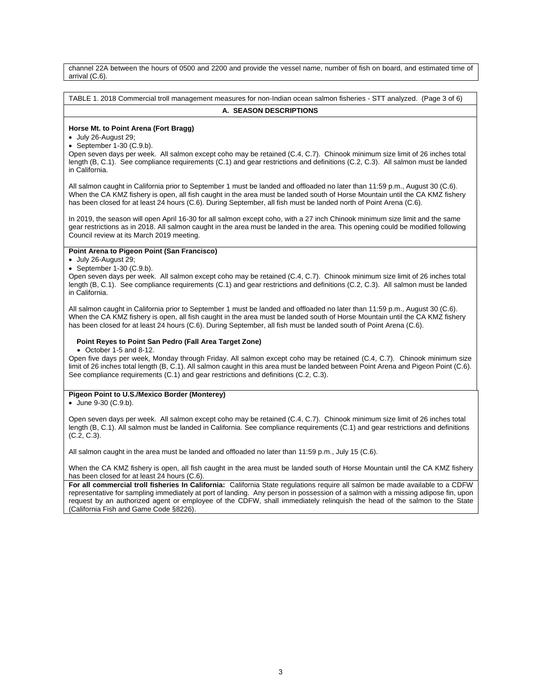channel 22A between the hours of 0500 and 2200 and provide the vessel name, number of fish on board, and estimated time of arrival (C.6).

TABLE 1. 2018 Commercial troll management measures for non-Indian ocean salmon fisheries - STT analyzed. (Page 3 of 6)

## **A. SEASON DESCRIPTIONS**

## **Horse Mt. to Point Arena (Fort Bragg)**

July 26-August 29;

 $\bullet$  September 1-30 (C.9.b).

Open seven days per week. All salmon except coho may be retained (C.4, C.7). Chinook minimum size limit of 26 inches total length (B, C.1). See compliance requirements (C.1) and gear restrictions and definitions (C.2, C.3). All salmon must be landed in California.

All salmon caught in California prior to September 1 must be landed and offloaded no later than 11:59 p.m., August 30 (C.6). When the CA KMZ fishery is open, all fish caught in the area must be landed south of Horse Mountain until the CA KMZ fishery has been closed for at least 24 hours (C.6). During September, all fish must be landed north of Point Arena (C.6).

In 2019, the season will open April 16-30 for all salmon except coho, with a 27 inch Chinook minimum size limit and the same gear restrictions as in 2018. All salmon caught in the area must be landed in the area. This opening could be modified following Council review at its March 2019 meeting.

#### **Point Arena to Pigeon Point (San Francisco)**

July 26-August 29;

 $\bullet$  September 1-30 (C.9.b).

Open seven days per week. All salmon except coho may be retained (C.4, C.7). Chinook minimum size limit of 26 inches total length (B, C.1). See compliance requirements (C.1) and gear restrictions and definitions (C.2, C.3). All salmon must be landed in California.

All salmon caught in California prior to September 1 must be landed and offloaded no later than 11:59 p.m., August 30 (C.6). When the CA KMZ fishery is open, all fish caught in the area must be landed south of Horse Mountain until the CA KMZ fishery has been closed for at least 24 hours (C.6). During September, all fish must be landed south of Point Arena (C.6).

## **Point Reyes to Point San Pedro (Fall Area Target Zone)**

October 1-5 and 8-12.

Open five days per week, Monday through Friday. All salmon except coho may be retained (C.4, C.7). Chinook minimum size limit of 26 inches total length (B, C.1). All salmon caught in this area must be landed between Point Arena and Pigeon Point (C.6). See compliance requirements (C.1) and gear restrictions and definitions (C.2, C.3).

## **Pigeon Point to U.S./Mexico Border (Monterey)**

June 9-30 (C.9.b).

Open seven days per week. All salmon except coho may be retained (C.4, C.7). Chinook minimum size limit of 26 inches total length (B, C.1). All salmon must be landed in California. See compliance requirements (C.1) and gear restrictions and definitions (C.2, C.3).

All salmon caught in the area must be landed and offloaded no later than 11:59 p.m., July 15 (C.6).

When the CA KMZ fishery is open, all fish caught in the area must be landed south of Horse Mountain until the CA KMZ fishery has been closed for at least 24 hours (C.6).

**For all commercial troll fisheries In California:** California State regulations require all salmon be made available to a CDFW representative for sampling immediately at port of landing. Any person in possession of a salmon with a missing adipose fin, upon request by an authorized agent or employee of the CDFW, shall immediately relinquish the head of the salmon to the State (California Fish and Game Code §8226).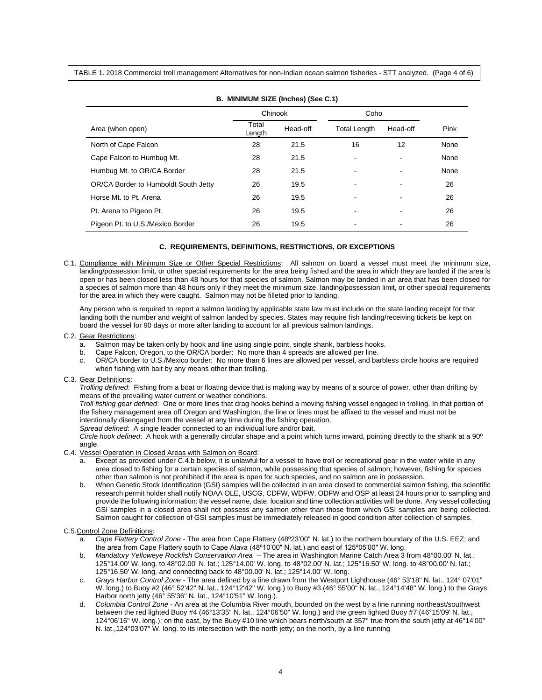TABLE 1. 2018 Commercial troll management Alternatives for non-Indian ocean salmon fisheries - STT analyzed. (Page 4 of 6)

| B. MINIMUM SIZE (Inches) (See C.1)   |                 |          |                     |          |      |  |  |  |
|--------------------------------------|-----------------|----------|---------------------|----------|------|--|--|--|
| Chinook<br>Coho                      |                 |          |                     |          |      |  |  |  |
| Area (when open)                     | Total<br>Length | Head-off | <b>Total Length</b> | Head-off | Pink |  |  |  |
| North of Cape Falcon                 | 28              | 21.5     | 16                  | 12       | None |  |  |  |
| Cape Falcon to Humbug Mt.            | 28              | 21.5     |                     |          | None |  |  |  |
| Humbug Mt. to OR/CA Border           | 28              | 21.5     |                     |          | None |  |  |  |
| OR/CA Border to Humboldt South Jetty | 26              | 19.5     |                     |          | 26   |  |  |  |
| Horse Mt. to Pt. Arena               | 26              | 19.5     |                     |          | 26   |  |  |  |
| Pt. Arena to Pigeon Pt.              | 26              | 19.5     |                     |          | 26   |  |  |  |
| Pigeon Pt. to U.S./Mexico Border     | 26              | 19.5     |                     |          | 26   |  |  |  |

 $\frac{1}{2}$ 

## **C. REQUIREMENTS, DEFINITIONS, RESTRICTIONS, OR EXCEPTIONS**

C.1. Compliance with Minimum Size or Other Special Restrictions: All salmon on board a vessel must meet the minimum size, landing/possession limit, or other special requirements for the area being fished and the area in which they are landed if the area is open or has been closed less than 48 hours for that species of salmon. Salmon may be landed in an area that has been closed for a species of salmon more than 48 hours only if they meet the minimum size, landing/possession limit, or other special requirements for the area in which they were caught. Salmon may not be filleted prior to landing.

 Any person who is required to report a salmon landing by applicable state law must include on the state landing receipt for that landing both the number and weight of salmon landed by species. States may require fish landing/receiving tickets be kept on board the vessel for 90 days or more after landing to account for all previous salmon landings.

#### C.2. Gear Restrictions:

- a. Salmon may be taken only by hook and line using single point, single shank, barbless hooks.
- b. Cape Falcon, Oregon, to the OR/CA border: No more than 4 spreads are allowed per line.
- c. OR/CA border to U.S./Mexico border: No more than 6 lines are allowed per vessel, and barbless circle hooks are required when fishing with bait by any means other than trolling.

#### C.3. Gear Definitions:

*Trolling defined*: Fishing from a boat or floating device that is making way by means of a source of power, other than drifting by means of the prevailing water current or weather conditions.

*Troll fishing gear defined*: One or more lines that drag hooks behind a moving fishing vessel engaged in trolling. In that portion of the fishery management area off Oregon and Washington, the line or lines must be affixed to the vessel and must not be intentionally disengaged from the vessel at any time during the fishing operation.

*Spread defined*: A single leader connected to an individual lure and/or bait.

*Circle hook defined*: A hook with a generally circular shape and a point which turns inward, pointing directly to the shank at a 90º angle.

#### C.4. Vessel Operation in Closed Areas with Salmon on Board:

- a. Except as provided under C.4.b below, it is unlawful for a vessel to have troll or recreational gear in the water while in any area closed to fishing for a certain species of salmon, while possessing that species of salmon; however, fishing for species other than salmon is not prohibited if the area is open for such species, and no salmon are in possession.
- b. When Genetic Stock Identification (GSI) samples will be collected in an area closed to commercial salmon fishing, the scientific research permit holder shall notify NOAA OLE, USCG, CDFW, WDFW, ODFW and OSP at least 24 hours prior to sampling and provide the following information: the vessel name, date, location and time collection activities will be done. Any vessel collecting GSI samples in a closed area shall not possess any salmon other than those from which GSI samples are being collected. Salmon caught for collection of GSI samples must be immediately released in good condition after collection of samples.

#### C.5.Control Zone Definitions:

- a. *Cape Flattery Control Zone*  The area from Cape Flattery (48º23'00" N. lat.) to the northern boundary of the U.S. EEZ; and the area from Cape Flattery south to Cape Alava (48º10'00" N. lat.) and east of 125º05'00" W. long.
- b. *Mandatory Yelloweye Rockfish Conservation Area* The area in Washington Marine Catch Area 3 from 48°00.00' N. lat.; 125°14.00' W. long. to 48°02.00' N. lat.; 125°14.00' W. long. to 48°02.00' N. lat.; 125°16.50' W. long. to 48°00.00' N. lat.; 125°16.50' W. long. and connecting back to 48°00.00' N. lat.; 125°14.00' W. long.
- c. *Grays Harbor Control Zone* The area defined by a line drawn from the Westport Lighthouse (46° 53'18" N. lat., 124° 07'01" W. long.) to Buoy #2 (46° 52'42" N. lat., 124°12'42" W. long.) to Buoy #3 (46° 55'00" N. lat., 124°14'48" W. long.) to the Grays Harbor north jetty (46° 55'36" N. lat., 124°10'51" W. long.).
- d. *Columbia Control Zone* An area at the Columbia River mouth, bounded on the west by a line running northeast/southwest between the red lighted Buoy #4 (46°13'35" N. lat., 124°06'50" W. long.) and the green lighted Buoy #7 (46°15'09' N. lat., 124°06'16" W. long.); on the east, by the Buoy #10 line which bears north/south at 357° true from the south jetty at 46°14'00" N. lat.,124°03'07" W. long. to its intersection with the north jetty; on the north, by a line running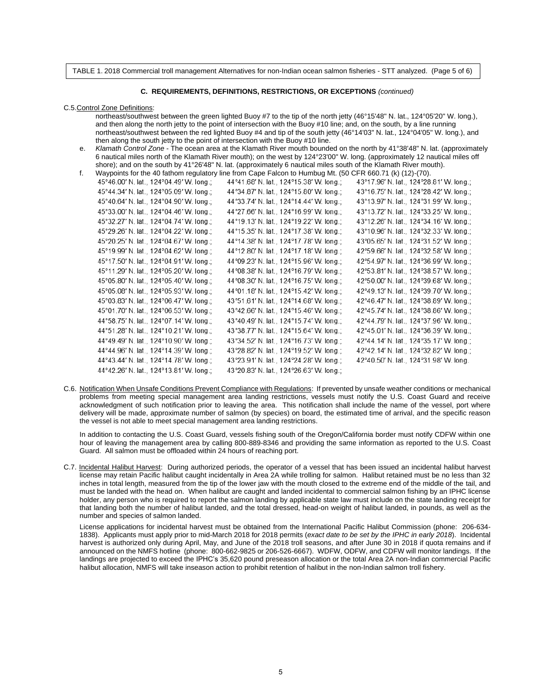TABLE 1. 2018 Commercial troll management Alternatives for non-Indian ocean salmon fisheries - STT analyzed. (Page 5 of 6)

#### **C. REQUIREMENTS, DEFINITIONS, RESTRICTIONS, OR EXCEPTIONS** *(continued)*

C.5.Control Zone Definitions:

 northeast/southwest between the green lighted Buoy #7 to the tip of the north jetty (46°15'48" N. lat., 124°05'20" W. long.), and then along the north jetty to the point of intersection with the Buoy #10 line; and, on the south, by a line running northeast/southwest between the red lighted Buoy #4 and tip of the south jetty (46°14'03" N. lat., 124°04'05" W. long.), and then along the south jetty to the point of intersection with the Buoy #10 line.

- e. *Klamath Control Zone* The ocean area at the Klamath River mouth bounded on the north by 41°38'48" N. lat. (approximately 6 nautical miles north of the Klamath River mouth); on the west by 124°23'00" W. long. (approximately 12 nautical miles off shore); and on the south by 41°26'48" N. lat. (approximately 6 nautical miles south of the Klamath River mouth).
- f. Waypoints for the 40 fathom regulatory line from Cape Falcon to Humbug Mt. (50 CFR 660.71 (k) (12)-(70).

| 45°46.00' N. lat., 124°04.49' W. long.; | 44°41.68′ N. lat., 124°15.38′ W. long.; | 43°17.96' N. lat., 124°28.81' W. long.; |
|-----------------------------------------|-----------------------------------------|-----------------------------------------|
| 45°44.34' N. lat., 124°05.09' W. long.; | 44°34.87' N. lat., 124°15.80' W. long.; | 43°16.75' N. lat., 124°28.42' W. long.; |
| 45°40.64' N. lat., 124°04.90' W. long.; | 44°33.74' N. lat., 124°14.44' W. long.; | 43°13.97' N. lat., 124°31.99' W. long.; |
| 45°33.00' N. lat., 124°04.46' W. long.; | 44°27.66' N. lat., 124°16.99' W. long.; | 43°13.72' N. lat., 124°33.25' W. long.; |
| 45°32.27' N. lat., 124°04.74' W. long.; | 44°19.13' N. lat., 124°19.22' W. long.; | 43°12.26' N. lat., 124°34.16' W. long.; |
| 45°29.26' N. lat., 124°04.22' W. long.; | 44°15.35' N. lat., 124°17.38' W. long.; | 43°10.96' N. lat., 124°32.33' W. long.; |
| 45°20.25' N. lat., 124°04.67' W. long.; | 44°14.38' N. lat., 124°17.78' W. long.; | 43°05.65' N. lat., 124°31.52' W. long.; |
| 45°19.99' N. lat., 124°04.62' W. long.; | 44°12.80' N. lat., 124°17.18' W. long.; | 42°59.66' N. lat., 124°32.58' W. long.; |
| 45°17.50' N. lat., 124°04.91' W. long.; | 44°09.23' N. lat., 124°15.96' W. long.; | 42°54.97' N. lat., 124°36.99' W. long.; |
| 45°11.29' N. lat., 124°05.20' W. long.; | 44°08.38' N. lat., 124°16.79' W. long.; | 42°53.81' N. lat., 124°38.57' W. long.; |
| 45°05.80' N. lat., 124°05.40' W. long.; | 44°08.30' N. lat., 124°16.75' W. long.; | 42°50.00' N. lat., 124°39.68' W. long.; |
| 45°05.08' N. lat., 124°05.93' W. long.; | 44°01.18' N. lat., 124°15.42' W. long.; | 42°49.13' N. lat., 124°39.70' W. long.; |
| 45°03.83' N. lat., 124°06.47' W. long.; | 43°51.61' N. lat., 124°14.68' W. long.; | 42°46.47' N. lat., 124°38.89' W. long.; |
| 45°01.70' N. lat., 124°06.53' W. long.; | 43°42.66' N. lat., 124°15.46' W. long.; | 42°45.74' N. lat., 124°38.86' W. long.; |
| 44°58.75' N. lat., 124°07.14' W. long.; | 43°40.49' N. lat., 124°15.74' W. long.; | 42°44.79' N. lat., 124°37.96' W. long.; |
| 44°51.28' N. lat., 124°10.21' W. long.; | 43°38.77' N. lat., 124°15.64' W. long.; | 42°45.01' N. lat., 124°36.39' W. long.; |
| 44°49.49' N. lat., 124°10.90' W. long.; | 43°34.52' N. lat., 124°16.73' W. long.; | 42°44.14' N. lat., 124°35.17' W. long.; |
| 44°44.96' N. lat., 124°14.39' W. long.; | 43°28.82' N. lat., 124°19.52' W. long.; | 42°42.14' N. lat., 124°32.82' W. long.; |
| 44°43.44' N. lat., 124°14.78' W. long.; | 43°23.91' N. lat., 124°24.28' W. long.; | 42°40.50' N. lat., 124°31.98' W. long.  |
| 44°42.26' N. lat., 124°13.81' W. long.; | 43°20.83' N. lat., 124°26.63' W. long.; |                                         |

C.6. Notification When Unsafe Conditions Prevent Compliance with Regulations: If prevented by unsafe weather conditions or mechanical problems from meeting special management area landing restrictions, vessels must notify the U.S. Coast Guard and receive acknowledgment of such notification prior to leaving the area. This notification shall include the name of the vessel, port where delivery will be made, approximate number of salmon (by species) on board, the estimated time of arrival, and the specific reason the vessel is not able to meet special management area landing restrictions.

In addition to contacting the U.S. Coast Guard, vessels fishing south of the Oregon/California border must notify CDFW within one hour of leaving the management area by calling 800-889-8346 and providing the same information as reported to the U.S. Coast Guard. All salmon must be offloaded within 24 hours of reaching port.

C.7. Incidental Halibut Harvest: During authorized periods, the operator of a vessel that has been issued an incidental halibut harvest license may retain Pacific halibut caught incidentally in Area 2A while trolling for salmon. Halibut retained must be no less than 32 inches in total length, measured from the tip of the lower jaw with the mouth closed to the extreme end of the middle of the tail, and must be landed with the head on. When halibut are caught and landed incidental to commercial salmon fishing by an IPHC license holder, any person who is required to report the salmon landing by applicable state law must include on the state landing receipt for that landing both the number of halibut landed, and the total dressed, head-on weight of halibut landed, in pounds, as well as the number and species of salmon landed.

 License applications for incidental harvest must be obtained from the International Pacific Halibut Commission (phone: 206-634- 1838). Applicants must apply prior to mid-March 2018 for 2018 permits (*exact date to be set by the IPHC in early 2018*). Incidental harvest is authorized only during April, May, and June of the 2018 troll seasons, and after June 30 in 2018 if quota remains and if announced on the NMFS hotline (phone: 800-662-9825 or 206-526-6667). WDFW, ODFW, and CDFW will monitor landings. If the landings are projected to exceed the IPHC's 35,620 pound preseason allocation or the total Area 2A non-Indian commercial Pacific halibut allocation, NMFS will take inseason action to prohibit retention of halibut in the non-Indian salmon troll fishery.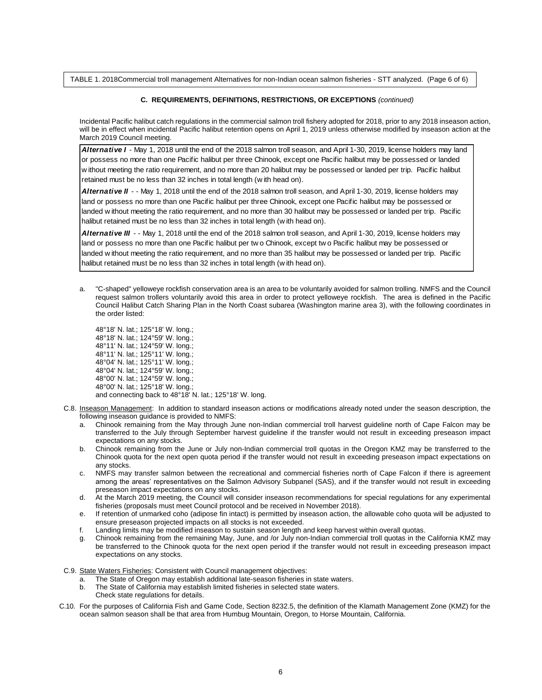TABLE 1. 2018Commercial troll management Alternatives for non-Indian ocean salmon fisheries - STT analyzed. (Page 6 of 6)

#### **C. REQUIREMENTS, DEFINITIONS, RESTRICTIONS, OR EXCEPTIONS** *(continued)*

Incidental Pacific halibut catch regulations in the commercial salmon troll fishery adopted for 2018, prior to any 2018 inseason action, will be in effect when incidental Pacific halibut retention opens on April 1, 2019 unless otherwise modified by inseason action at the March 2019 Council meeting.

*Alternative I* - May 1, 2018 until the end of the 2018 salmon troll season, and April 1-30, 2019, license holders may land or possess no more than one Pacific halibut per three Chinook, except one Pacific halibut may be possessed or landed w ithout meeting the ratio requirement, and no more than 20 halibut may be possessed or landed per trip. Pacific halibut retained must be no less than 32 inches in total length (w ith head on).

*Alternative II* - - May 1, 2018 until the end of the 2018 salmon troll season, and April 1-30, 2019, license holders may land or possess no more than one Pacific halibut per three Chinook, except one Pacific halibut may be possessed or landed w ithout meeting the ratio requirement, and no more than 30 halibut may be possessed or landed per trip. Pacific halibut retained must be no less than 32 inches in total length (w ith head on).

*Alternative III* - - May 1, 2018 until the end of the 2018 salmon troll season, and April 1-30, 2019, license holders may land or possess no more than one Pacific halibut per tw o Chinook, except tw o Pacific halibut may be possessed or landed w ithout meeting the ratio requirement, and no more than 35 halibut may be possessed or landed per trip. Pacific halibut retained must be no less than 32 inches in total length (w ith head on).

a. "C-shaped" yelloweye rockfish conservation area is an area to be voluntarily avoided for salmon trolling. NMFS and the Council request salmon trollers voluntarily avoid this area in order to protect yelloweye rockfish. The area is defined in the Pacific Council Halibut Catch Sharing Plan in the North Coast subarea (Washington marine area 3), with the following coordinates in the order listed:

48°18' N. lat.; 125°18' W. long.; 48°18' N. lat.; 124°59' W. long.; 48°11' N. lat.; 124°59' W. long.; 48°11' N. lat.; 125°11' W. long.; 48°04' N. lat.; 125°11' W. long.; 48°04' N. lat.; 124°59' W. long.; 48°00' N. lat.; 124°59' W. long.; 48°00' N. lat.; 125°18' W. long.; and connecting back to 48°18' N. lat.; 125°18' W. long.

- C.8. Inseason Management: In addition to standard inseason actions or modifications already noted under the season description, the following inseason guidance is provided to NMFS:
	- a. Chinook remaining from the May through June non-Indian commercial troll harvest guideline north of Cape Falcon may be transferred to the July through September harvest guideline if the transfer would not result in exceeding preseason impact expectations on any stocks.
	- b. Chinook remaining from the June or July non-Indian commercial troll quotas in the Oregon KMZ may be transferred to the Chinook quota for the next open quota period if the transfer would not result in exceeding preseason impact expectations on any stocks.
	- c. NMFS may transfer salmon between the recreational and commercial fisheries north of Cape Falcon if there is agreement among the areas' representatives on the Salmon Advisory Subpanel (SAS), and if the transfer would not result in exceeding preseason impact expectations on any stocks.
	- d. At the March 2019 meeting, the Council will consider inseason recommendations for special regulations for any experimental fisheries (proposals must meet Council protocol and be received in November 2018).
	- e. If retention of unmarked coho (adipose fin intact) is permitted by inseason action, the allowable coho quota will be adjusted to ensure preseason projected impacts on all stocks is not exceeded.
	- f. Landing limits may be modified inseason to sustain season length and keep harvest within overall quotas.
	- g. Chinook remaining from the remaining May, June, and /or July non-Indian commercial troll quotas in the California KMZ may be transferred to the Chinook quota for the next open period if the transfer would not result in exceeding preseason impact expectations on any stocks.
- C.9. State Waters Fisheries: Consistent with Council management objectives:
	- a. The State of Oregon may establish additional late-season fisheries in state waters.
	- b. The State of California may establish limited fisheries in selected state waters.
		- Check state regulations for details.
- C.10. For the purposes of California Fish and Game Code, Section 8232.5, the definition of the Klamath Management Zone (KMZ) for the ocean salmon season shall be that area from Humbug Mountain, Oregon, to Horse Mountain, California.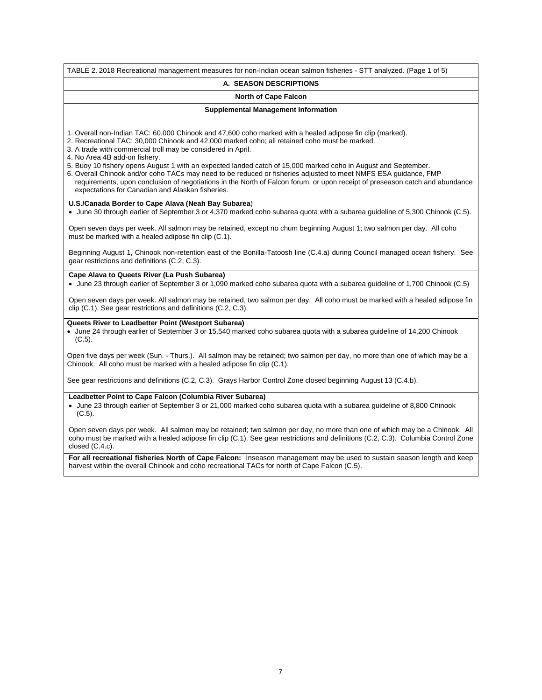TABLE 2. 2018 Recreational management measures for non-Indian ocean salmon fisheries - STT analyzed. (Page 1 of 5)

#### **A. SEASON DESCRIPTIONS**

#### **North of Cape Falcon**

#### **Supplemental Management Information**

- 1. Overall non-Indian TAC: 60,000 Chinook and 47,600 coho marked with a healed adipose fin clip (marked).
- 2. Recreational TAC: 30,000 Chinook and 42,000 marked coho; all retained coho must be marked.
- 3. A trade with commercial troll may be considered in April.
- 4. No Area 4B add-on fishery.
- 5. Buoy 10 fishery opens August 1 with an expected landed catch of 15,000 marked coho in August and September.
- 6. Overall Chinook and/or coho TACs may need to be reduced or fisheries adjusted to meet NMFS ESA guidance, FMP requirements, upon conclusion of negotiations in the North of Falcon forum, or upon receipt of preseason catch and abundance expectations for Canadian and Alaskan fisheries.

#### **U.S./Canada Border to Cape Alava (Neah Bay Subarea**)

June 30 through earlier of September 3 or 4,370 marked coho subarea quota with a subarea guideline of 5,300 Chinook (C.5).

Open seven days per week. All salmon may be retained, except no chum beginning August 1; two salmon per day. All coho must be marked with a healed adipose fin clip (C.1).

Beginning August 1, Chinook non-retention east of the Bonilla-Tatoosh line (C.4.a) during Council managed ocean fishery. See gear restrictions and definitions (C.2, C.3).

#### **Cape Alava to Queets River (La Push Subarea)**

June 23 through earlier of September 3 or 1,090 marked coho subarea quota with a subarea guideline of 1,700 Chinook (C.5)

Open seven days per week. All salmon may be retained, two salmon per day. All coho must be marked with a healed adipose fin clip (C.1). See gear restrictions and definitions (C.2, C.3).

#### **Queets River to Leadbetter Point (Westport Subarea)**

 June 24 through earlier of September 3 or 15,540 marked coho subarea quota with a subarea guideline of 14,200 Chinook (C.5).

Open five days per week (Sun. - Thurs.). All salmon may be retained; two salmon per day, no more than one of which may be a Chinook. All coho must be marked with a healed adipose fin clip (C.1).

See gear restrictions and definitions (C.2, C.3). Grays Harbor Control Zone closed beginning August 13 (C.4.b).

#### **Leadbetter Point to Cape Falcon (Columbia River Subarea)**

 June 23 through earlier of September 3 or 21,000 marked coho subarea quota with a subarea guideline of 8,800 Chinook (C.5).

Open seven days per week. All salmon may be retained; two salmon per day, no more than one of which may be a Chinook. All coho must be marked with a healed adipose fin clip (C.1). See gear restrictions and definitions (C.2, C.3). Columbia Control Zone closed (C.4.c).

**For all recreational fisheries North of Cape Falcon:** Inseason management may be used to sustain season length and keep harvest within the overall Chinook and coho recreational TACs for north of Cape Falcon (C.5).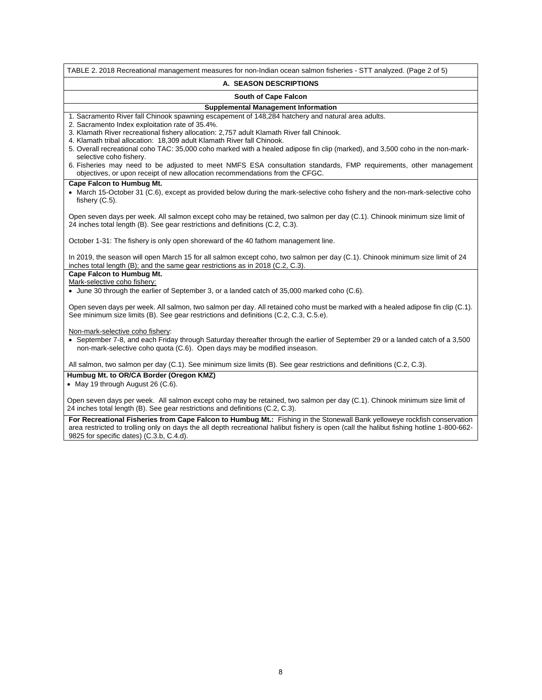| TABLE 2. 2018 Recreational management measures for non-Indian ocean salmon fisheries - STT analyzed. (Page 2 of 5)                                                                                                                                                                                                                                                                                                                                           |
|--------------------------------------------------------------------------------------------------------------------------------------------------------------------------------------------------------------------------------------------------------------------------------------------------------------------------------------------------------------------------------------------------------------------------------------------------------------|
| A. SEASON DESCRIPTIONS                                                                                                                                                                                                                                                                                                                                                                                                                                       |
| South of Cape Falcon                                                                                                                                                                                                                                                                                                                                                                                                                                         |
| <b>Supplemental Management Information</b>                                                                                                                                                                                                                                                                                                                                                                                                                   |
| 1. Sacramento River fall Chinook spawning escapement of 148,284 hatchery and natural area adults.<br>2. Sacramento Index exploitation rate of 35.4%.<br>3. Klamath River recreational fishery allocation: 2,757 adult Klamath River fall Chinook.<br>4. Klamath tribal allocation: 18,309 adult Klamath River fall Chinook.<br>5. Overall recreational coho TAC: 35,000 coho marked with a healed adipose fin clip (marked), and 3,500 coho in the non-mark- |
| selective coho fishery.<br>6. Fisheries may need to be adjusted to meet NMFS ESA consultation standards, FMP requirements, other management<br>objectives, or upon receipt of new allocation recommendations from the CFGC.                                                                                                                                                                                                                                  |
| <b>Cape Falcon to Humbug Mt.</b><br>• March 15-October 31 (C.6), except as provided below during the mark-selective coho fishery and the non-mark-selective coho<br>fishery $(C.5)$ .                                                                                                                                                                                                                                                                        |
| Open seven days per week. All salmon except coho may be retained, two salmon per day (C.1). Chinook minimum size limit of<br>24 inches total length (B). See gear restrictions and definitions (C.2, C.3).                                                                                                                                                                                                                                                   |
| October 1-31: The fishery is only open shoreward of the 40 fathom management line.                                                                                                                                                                                                                                                                                                                                                                           |
| In 2019, the season will open March 15 for all salmon except coho, two salmon per day (C.1). Chinook minimum size limit of 24<br>inches total length (B); and the same gear restrictions as in 2018 (C.2, C.3).                                                                                                                                                                                                                                              |
| Cape Falcon to Humbug Mt.                                                                                                                                                                                                                                                                                                                                                                                                                                    |
| Mark-selective coho fishery:<br>• June 30 through the earlier of September 3, or a landed catch of 35,000 marked coho (C.6).                                                                                                                                                                                                                                                                                                                                 |
| Open seven days per week. All salmon, two salmon per day. All retained coho must be marked with a healed adipose fin clip (C.1).<br>See minimum size limits (B). See gear restrictions and definitions (C.2, C.3, C.5.e).                                                                                                                                                                                                                                    |
| Non-mark-selective coho fishery:<br>• September 7-8, and each Friday through Saturday thereafter through the earlier of September 29 or a landed catch of a 3,500<br>non-mark-selective coho quota (C.6). Open days may be modified inseason.                                                                                                                                                                                                                |
| All salmon, two salmon per day (C.1). See minimum size limits (B). See gear restrictions and definitions (C.2, C.3).                                                                                                                                                                                                                                                                                                                                         |
| Humbug Mt. to OR/CA Border (Oregon KMZ)<br>• May 19 through August 26 (C.6).                                                                                                                                                                                                                                                                                                                                                                                 |
| Open seven days per week. All salmon except coho may be retained, two salmon per day (C.1). Chinook minimum size limit of<br>24 inches total length (B). See gear restrictions and definitions (C.2, C.3).<br>For Poerastianal Fisheries from Cano Falcon to Humbug Mt - Fishing in the Steppural Rapk velloweve resktish conservation                                                                                                                       |

**For Recreational Fisheries from Cape Falcon to Humbug Mt.:** Fishing in the Stonewall Bank yelloweye rockfish conservation area restricted to trolling only on days the all depth recreational halibut fishery is open (call the halibut fishing hotline 1-800-662- 9825 for specific dates) (C.3.b, C.4.d).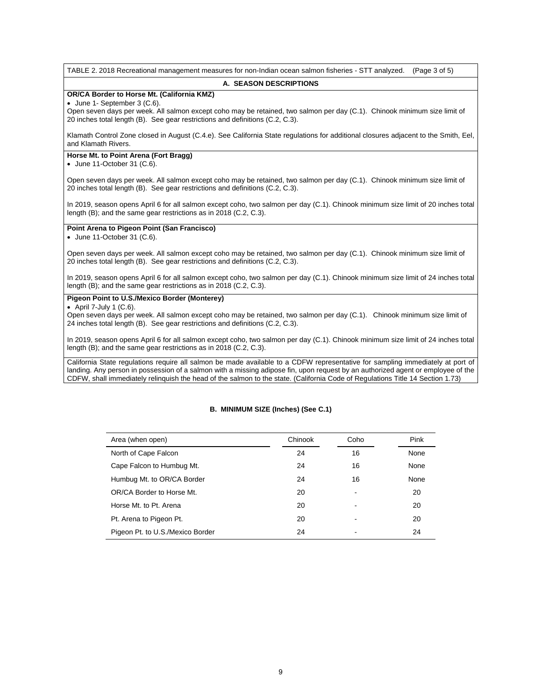TABLE 2. 2018 Recreational management measures for non-Indian ocean salmon fisheries - STT analyzed. (Page 3 of 5)

#### **A. SEASON DESCRIPTIONS**

## **OR/CA Border to Horse Mt. (California KMZ)**

June 1- September 3 (C.6).

Open seven days per week. All salmon except coho may be retained, two salmon per day (C.1). Chinook minimum size limit of 20 inches total length (B). See gear restrictions and definitions (C.2, C.3).

Klamath Control Zone closed in August (C.4.e). See California State regulations for additional closures adjacent to the Smith, Eel, and Klamath Rivers.

#### **Horse Mt. to Point Arena (Fort Bragg)**

 $\bullet$  June 11-October 31 (C.6).

Open seven days per week. All salmon except coho may be retained, two salmon per day (C.1). Chinook minimum size limit of 20 inches total length (B). See gear restrictions and definitions (C.2, C.3).

In 2019, season opens April 6 for all salmon except coho, two salmon per day (C.1). Chinook minimum size limit of 20 inches total length (B); and the same gear restrictions as in 2018 (C.2, C.3).

#### **Point Arena to Pigeon Point (San Francisco)**

 $\bullet$  June 11-October 31 (C.6).

Open seven days per week. All salmon except coho may be retained, two salmon per day (C.1). Chinook minimum size limit of 20 inches total length (B). See gear restrictions and definitions (C.2, C.3).

In 2019, season opens April 6 for all salmon except coho, two salmon per day (C.1). Chinook minimum size limit of 24 inches total length (B); and the same gear restrictions as in 2018 (C.2, C.3).

#### **Pigeon Point to U.S./Mexico Border (Monterey)**

 $\bullet$  April 7-July 1 (C.6).

Open seven days per week. All salmon except coho may be retained, two salmon per day (C.1). Chinook minimum size limit of 24 inches total length (B). See gear restrictions and definitions (C.2, C.3).

In 2019, season opens April 6 for all salmon except coho, two salmon per day (C.1). Chinook minimum size limit of 24 inches total length (B); and the same gear restrictions as in 2018 (C.2, C.3).

California State regulations require all salmon be made available to a CDFW representative for sampling immediately at port of landing. Any person in possession of a salmon with a missing adipose fin, upon request by an authorized agent or employee of the CDFW, shall immediately relinquish the head of the salmon to the state. (California Code of Regulations Title 14 Section 1.73)

## **B. MINIMUM SIZE (Inches) (See C.1)**

| Area (when open)                 | Chinook | Coho | Pink |
|----------------------------------|---------|------|------|
| North of Cape Falcon             | 24      | 16   | None |
| Cape Falcon to Humbug Mt.        | 24      | 16   | None |
| Humbug Mt. to OR/CA Border       | 24      | 16   | None |
| OR/CA Border to Horse Mt.        | 20      |      | 20   |
| Horse Mt. to Pt. Arena           | 20      |      | 20   |
| Pt. Arena to Pigeon Pt.          | 20      |      | 20   |
| Pigeon Pt. to U.S./Mexico Border | 24      |      | 24   |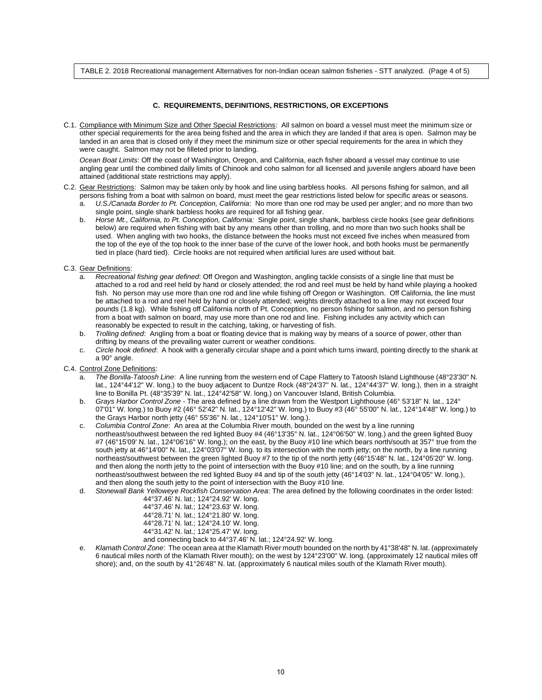TABLE 2. 2018 Recreational management Alternatives for non-Indian ocean salmon fisheries - STT analyzed. (Page 4 of 5)

#### **C. REQUIREMENTS, DEFINITIONS, RESTRICTIONS, OR EXCEPTIONS**

C.1. Compliance with Minimum Size and Other Special Restrictions: All salmon on board a vessel must meet the minimum size or other special requirements for the area being fished and the area in which they are landed if that area is open. Salmon may be landed in an area that is closed only if they meet the minimum size or other special requirements for the area in which they were caught. Salmon may not be filleted prior to landing.

*Ocean Boat Limits*: Off the coast of Washington, Oregon, and California, each fisher aboard a vessel may continue to use angling gear until the combined daily limits of Chinook and coho salmon for all licensed and juvenile anglers aboard have been attained (additional state restrictions may apply).

- C.2. Gear Restrictions: Salmon may be taken only by hook and line using barbless hooks. All persons fishing for salmon, and all persons fishing from a boat with salmon on board, must meet the gear restrictions listed below for specific areas or seasons.
	- a. *U.S./Canada Border to Pt. Conception, California*: No more than one rod may be used per angler; and no more than two single point, single shank barbless hooks are required for all fishing gear.
	- b. *Horse Mt., California, to Pt. Conception, California:* Single point, single shank, barbless circle hooks (see gear definitions below) are required when fishing with bait by any means other than trolling, and no more than two such hooks shall be used. When angling with two hooks, the distance between the hooks must not exceed five inches when measured from the top of the eye of the top hook to the inner base of the curve of the lower hook, and both hooks must be permanently tied in place (hard tied). Circle hooks are not required when artificial lures are used without bait.

#### C.3. Gear Definitions:

- a. *Recreational fishing gear defined*: Off Oregon and Washington, angling tackle consists of a single line that must be attached to a rod and reel held by hand or closely attended; the rod and reel must be held by hand while playing a hooked fish. No person may use more than one rod and line while fishing off Oregon or Washington. Off California, the line must be attached to a rod and reel held by hand or closely attended; weights directly attached to a line may not exceed four pounds (1.8 kg). While fishing off California north of Pt. Conception, no person fishing for salmon, and no person fishing from a boat with salmon on board, may use more than one rod and line. Fishing includes any activity which can reasonably be expected to result in the catching, taking, or harvesting of fish.
- b. *Trolling defined*: Angling from a boat or floating device that is making way by means of a source of power, other than drifting by means of the prevailing water current or weather conditions.
- c. *Circle hook defined*: A hook with a generally circular shape and a point which turns inward, pointing directly to the shank at a 90° angle.
- C.4. Control Zone Definitions:
	- a. *The Bonilla-Tatoosh Line*: A line running from the western end of Cape Flattery to Tatoosh Island Lighthouse (48°23'30" N. lat., 124°44'12" W. long.) to the buoy adjacent to Duntze Rock (48°24'37" N. lat., 124°44'37" W. long.), then in a straight line to Bonilla Pt. (48°35'39" N. lat., 124°42'58" W. long.) on Vancouver Island, British Columbia.
	- b. *Grays Harbor Control Zone* The area defined by a line drawn from the Westport Lighthouse (46° 53'18" N. lat., 124° 07'01" W. long.) to Buoy #2 (46° 52'42" N. lat., 124°12'42" W. long.) to Buoy #3 (46° 55'00" N. lat., 124°14'48" W. long.) to the Grays Harbor north jetty (46° 55'36" N. lat., 124°10'51" W. long.).
	- c. *Columbia Control Zone*: An area at the Columbia River mouth, bounded on the west by a line running northeast/southwest between the red lighted Buoy #4 (46°13'35" N. lat., 124°06'50" W. long.) and the green lighted Buoy #7 (46°15'09' N. lat., 124°06'16" W. long.); on the east, by the Buoy #10 line which bears north/south at 357° true from the south jetty at 46°14'00" N. lat., 124°03'07" W. long. to its intersection with the north jetty; on the north, by a line running northeast/southwest between the green lighted Buoy #7 to the tip of the north jetty (46°15'48" N. lat., 124°05'20" W. long. and then along the north jetty to the point of intersection with the Buoy #10 line; and on the south, by a line running northeast/southwest between the red lighted Buoy #4 and tip of the south jetty (46°14'03" N. lat., 124°04'05" W. long.), and then along the south jetty to the point of intersection with the Buoy #10 line.
	- d. *Stonewall Bank Yelloweye Rockfish Conservation Area*: The area defined by the following coordinates in the order listed: 44°37.46' N. lat.; 124°24.92' W. long.

| $T$ of $T$ of $T$ is fail, if $T$ is $T$ . $T$ is $T$ is $T$ is $T$ is $T$ is $T$ is $T$ is $T$ is $T$ is $T$ is $T$ is $T$ is $T$ is $T$ is $T$ is $T$ is $T$ is $T$ is $T$ is $T$ is $T$ is $T$ is $T$ is $T$ is $T$ is $T$ |
|-------------------------------------------------------------------------------------------------------------------------------------------------------------------------------------------------------------------------------|
| 44°37.46' N. lat.; 124°23.63' W. long.                                                                                                                                                                                        |
| 44°28.71' N. lat.; 124°21.80' W. long.                                                                                                                                                                                        |
| 44°28.71′ N. lat.; 124°24.10′ W. long.                                                                                                                                                                                        |
| 44°31.42′ N. lat.; 124°25.47′ W. long.                                                                                                                                                                                        |
|                                                                                                                                                                                                                               |

- and connecting back to 44°37.46' N. lat.; 124°24.92' W. long.
- e. *Klamath Control Zone*: The ocean area at the Klamath River mouth bounded on the north by 41°38'48" N. lat. (approximately 6 nautical miles north of the Klamath River mouth); on the west by 124°23'00" W. long. (approximately 12 nautical miles off shore); and, on the south by 41°26'48" N. lat. (approximately 6 nautical miles south of the Klamath River mouth).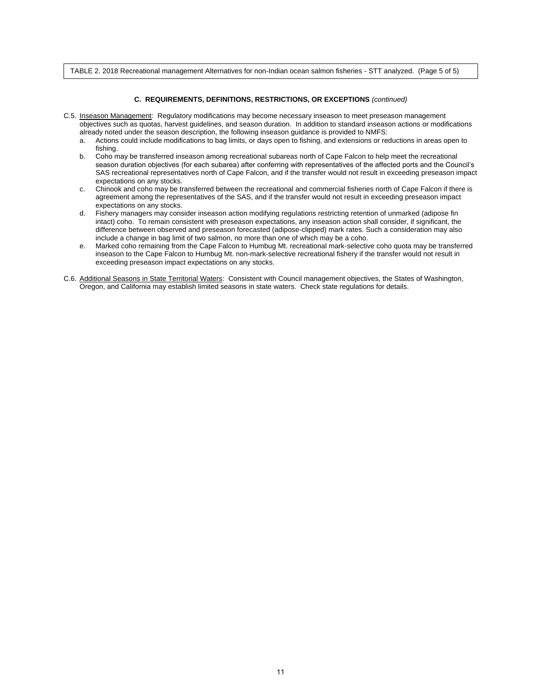TABLE 2. 2018 Recreational management Alternatives for non-Indian ocean salmon fisheries - STT analyzed. (Page 5 of 5)

#### **C. REQUIREMENTS, DEFINITIONS, RESTRICTIONS, OR EXCEPTIONS** *(continued)*

- C.5. Inseason Management: Regulatory modifications may become necessary inseason to meet preseason management objectives such as quotas, harvest guidelines, and season duration. In addition to standard inseason actions or modifications
	- already noted under the season description, the following inseason guidance is provided to NMFS:<br>a. Actions could include modifications to bag limits, or days open to fishing, and extensions or re a. Actions could include modifications to bag limits, or days open to fishing, and extensions or reductions in areas open to fishing.
	- b. Coho may be transferred inseason among recreational subareas north of Cape Falcon to help meet the recreational season duration objectives (for each subarea) after conferring with representatives of the affected ports and the Council's SAS recreational representatives north of Cape Falcon, and if the transfer would not result in exceeding preseason impact expectations on any stocks.
	- c. Chinook and coho may be transferred between the recreational and commercial fisheries north of Cape Falcon if there is agreement among the representatives of the SAS, and if the transfer would not result in exceeding preseason impact expectations on any stocks.
	- d. Fishery managers may consider inseason action modifying regulations restricting retention of unmarked (adipose fin intact) coho. To remain consistent with preseason expectations, any inseason action shall consider, if significant, the difference between observed and preseason forecasted (adipose-clipped) mark rates. Such a consideration may also include a change in bag limit of two salmon, no more than one of which may be a coho.
	- e. Marked coho remaining from the Cape Falcon to Humbug Mt. recreational mark-selective coho quota may be transferred inseason to the Cape Falcon to Humbug Mt. non-mark-selective recreational fishery if the transfer would not result in exceeding preseason impact expectations on any stocks.
- C.6. Additional Seasons in State Territorial Waters: Consistent with Council management objectives, the States of Washington, Oregon, and California may establish limited seasons in state waters. Check state regulations for details.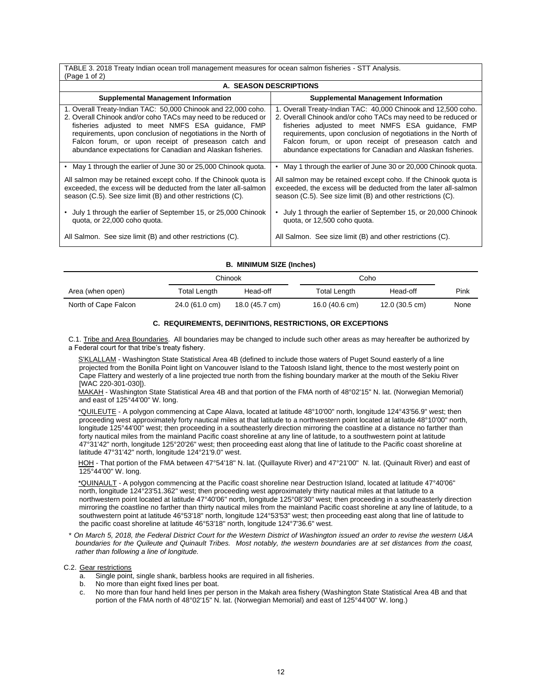TABLE 3. 2018 Treaty Indian ocean troll management measures for ocean salmon fisheries - STT Analysis.  $(Pan 1 of 2)$ 

| $\cdots$ and $\cdots$ and $\cdots$<br>A. SEASON DESCRIPTIONS                                                                                                                                                                                                                                                                                                               |                                                                                                                                                                                                                                                                                                                                                                            |  |  |  |  |  |
|----------------------------------------------------------------------------------------------------------------------------------------------------------------------------------------------------------------------------------------------------------------------------------------------------------------------------------------------------------------------------|----------------------------------------------------------------------------------------------------------------------------------------------------------------------------------------------------------------------------------------------------------------------------------------------------------------------------------------------------------------------------|--|--|--|--|--|
| <b>Supplemental Management Information</b>                                                                                                                                                                                                                                                                                                                                 | <b>Supplemental Management Information</b>                                                                                                                                                                                                                                                                                                                                 |  |  |  |  |  |
| 1. Overall Treaty-Indian TAC: 50,000 Chinook and 22,000 coho.<br>2. Overall Chinook and/or coho TACs may need to be reduced or<br>fisheries adjusted to meet NMFS ESA quidance, FMP<br>requirements, upon conclusion of negotiations in the North of<br>Falcon forum, or upon receipt of preseason catch and<br>abundance expectations for Canadian and Alaskan fisheries. | 1. Overall Treaty-Indian TAC: 40,000 Chinook and 12,500 coho.<br>2. Overall Chinook and/or coho TACs may need to be reduced or<br>fisheries adjusted to meet NMFS ESA guidance, FMP<br>requirements, upon conclusion of negotiations in the North of<br>Falcon forum, or upon receipt of preseason catch and<br>abundance expectations for Canadian and Alaskan fisheries. |  |  |  |  |  |
| • May 1 through the earlier of June 30 or 25,000 Chinook quota.                                                                                                                                                                                                                                                                                                            | May 1 through the earlier of June 30 or 20,000 Chinook guota.                                                                                                                                                                                                                                                                                                              |  |  |  |  |  |
| All salmon may be retained except coho. If the Chinook quota is<br>exceeded, the excess will be deducted from the later all-salmon<br>season (C.5). See size limit (B) and other restrictions (C).                                                                                                                                                                         | All salmon may be retained except coho. If the Chinook quota is<br>exceeded, the excess will be deducted from the later all-salmon<br>season (C.5). See size limit (B) and other restrictions (C).                                                                                                                                                                         |  |  |  |  |  |
| July 1 through the earlier of September 15, or 25,000 Chinook<br>quota, or 22,000 coho quota.                                                                                                                                                                                                                                                                              | July 1 through the earlier of September 15, or 20,000 Chinook<br>quota, or 12,500 coho quota.                                                                                                                                                                                                                                                                              |  |  |  |  |  |
| All Salmon. See size limit (B) and other restrictions (C).                                                                                                                                                                                                                                                                                                                 | All Salmon. See size limit (B) and other restrictions (C).                                                                                                                                                                                                                                                                                                                 |  |  |  |  |  |

#### **B. MINIMUM SIZE (Inches)**

|                      |                | Chinook        | Coho                |                |      |
|----------------------|----------------|----------------|---------------------|----------------|------|
| Area (when open)     | Total Length   | Head-off       | <b>Total Length</b> | Head-off       | Pink |
| North of Cape Falcon | 24.0 (61.0 cm) | 18.0 (45.7 cm) | 16.0 (40.6 cm)      | 12.0 (30.5 cm) | None |

#### **C. REQUIREMENTS, DEFINITIONS, RESTRICTIONS, OR EXCEPTIONS**

C.1. Tribe and Area Boundaries. All boundaries may be changed to include such other areas as may hereafter be authorized by a Federal court for that tribe's treaty fishery.

 S'KLALLAM - Washington State Statistical Area 4B (defined to include those waters of Puget Sound easterly of a line projected from the Bonilla Point light on Vancouver Island to the Tatoosh Island light, thence to the most westerly point on Cape Flattery and westerly of a line projected true north from the fishing boundary marker at the mouth of the Sekiu River [WAC 220-301-030]).

 MAKAH - Washington State Statistical Area 4B and that portion of the FMA north of 48°02'15" N. lat. (Norwegian Memorial) and east of 125°44'00" W. long.

 \*QUILEUTE - A polygon commencing at Cape Alava, located at latitude 48°10'00" north, longitude 124°43'56.9" west; then proceeding west approximately forty nautical miles at that latitude to a northwestern point located at latitude 48°10'00" north, longitude 125°44'00" west; then proceeding in a southeasterly direction mirroring the coastline at a distance no farther than forty nautical miles from the mainland Pacific coast shoreline at any line of latitude, to a southwestern point at latitude 47°31'42" north, longitude 125°20'26" west; then proceeding east along that line of latitude to the Pacific coast shoreline at latitude 47°31'42" north, longitude 124°21'9.0" west.

HOH - That portion of the FMA between 47°54'18" N. lat. (Quillayute River) and 47°21'00" N. lat. (Quinault River) and east of 125°44'00" W. long.

 \*QUINAULT - A polygon commencing at the Pacific coast shoreline near Destruction Island, located at latitude 47°40'06" north, longitude 124°23'51.362" west; then proceeding west approximately thirty nautical miles at that latitude to a northwestern point located at latitude 47°40'06" north, longitude 125°08'30" west; then proceeding in a southeasterly direction mirroring the coastline no farther than thirty nautical miles from the mainland Pacific coast shoreline at any line of latitude, to a southwestern point at latitude 46°53'18" north, longitude 124°53'53" west; then proceeding east along that line of latitude to the pacific coast shoreline at latitude 46°53'18" north, longitude 124°7'36.6" west.

*\* On March 5, 2018, the Federal District Court for the Western District of Washington issued an order to revise the western U&A boundaries for the Quileute and Quinault Tribes. Most notably, the western boundaries are at set distances from the coast, rather than following a line of longitude.* 

C.2. Gear restrictions

- a. Single point, single shank, barbless hooks are required in all fisheries.
- b. No more than eight fixed lines per boat.
- c. No more than four hand held lines per person in the Makah area fishery (Washington State Statistical Area 4B and that portion of the FMA north of 48°02'15" N. lat. (Norwegian Memorial) and east of 125°44'00" W. long.)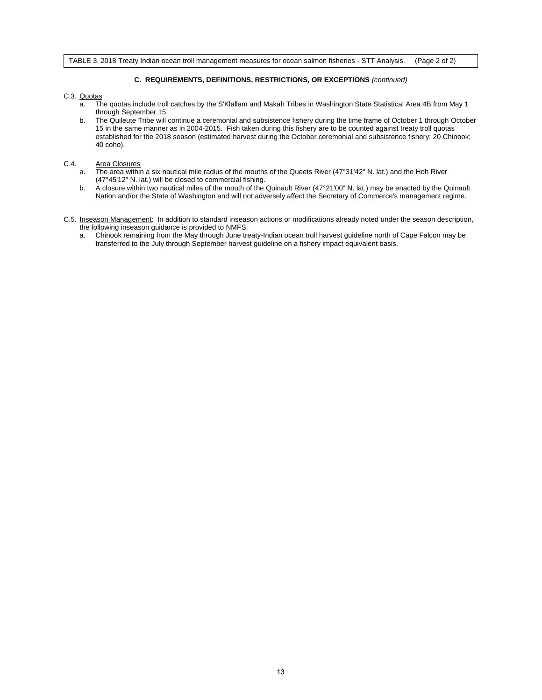TABLE 3. 2018 Treaty Indian ocean troll management measures for ocean salmon fisheries - STT Analysis. (Page 2 of 2)

## **C. REQUIREMENTS, DEFINITIONS, RESTRICTIONS, OR EXCEPTIONS** *(continued)*

#### C.3. Quotas

- a. The quotas include troll catches by the S'Klallam and Makah Tribes in Washington State Statistical Area 4B from May 1 through September 15.
- b. The Quileute Tribe will continue a ceremonial and subsistence fishery during the time frame of October 1 through October 15 in the same manner as in 2004-2015. Fish taken during this fishery are to be counted against treaty troll quotas established for the 2018 season (estimated harvest during the October ceremonial and subsistence fishery: 20 Chinook; 40 coho).

## C.4. Area Closures

- a. The area within a six nautical mile radius of the mouths of the Queets River (47°31'42" N. lat.) and the Hoh River (47°45'12" N. lat.) will be closed to commercial fishing.
- b. A closure within two nautical miles of the mouth of the Quinault River (47°21'00" N. lat.) may be enacted by the Quinault Nation and/or the State of Washington and will not adversely affect the Secretary of Commerce's management regime.
- C.5. Inseason Management: In addition to standard inseason actions or modifications already noted under the season description, the following inseason guidance is provided to NMFS:
	- a. Chinook remaining from the May through June treaty-Indian ocean troll harvest guideline north of Cape Falcon may be transferred to the July through September harvest guideline on a fishery impact equivalent basis.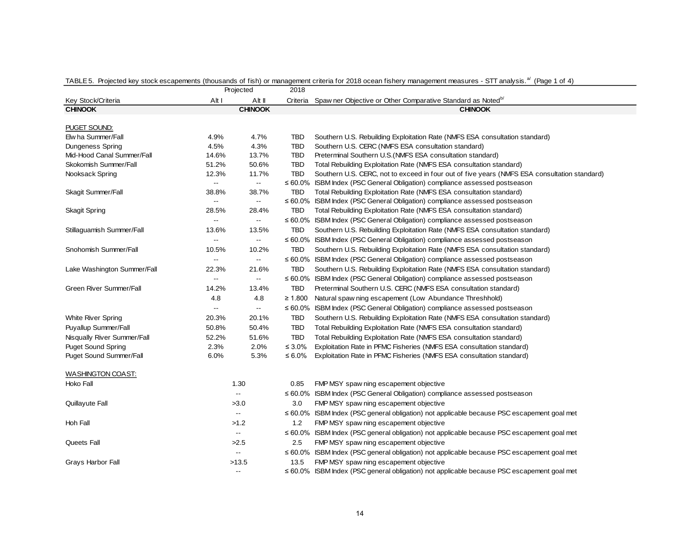|                             |                          | Projected                                     | 2018         |                                                                                                  |
|-----------------------------|--------------------------|-----------------------------------------------|--------------|--------------------------------------------------------------------------------------------------|
| Key Stock/Criteria          | Alt I                    | Alt II                                        | Criteria     | Spaw ner Objective or Other Comparative Standard as Noted <sup>b/</sup>                          |
| <b>CHINOOK</b>              |                          | <b>CHINOOK</b>                                |              | <b>CHINOOK</b>                                                                                   |
|                             |                          |                                               |              |                                                                                                  |
| <u>PUGET SOUND:</u>         |                          |                                               |              |                                                                                                  |
| Elw ha Summer/Fall          | 4.9%                     | 4.7%                                          | <b>TBD</b>   | Southern U.S. Rebuilding Exploitation Rate (NMFS ESA consultation standard)                      |
| <b>Dungeness Spring</b>     | 4.5%                     | 4.3%                                          | <b>TBD</b>   | Southern U.S. CERC (NMFS ESA consultation standard)                                              |
| Mid-Hood Canal Summer/Fall  | 14.6%                    | 13.7%                                         | <b>TBD</b>   | Preterminal Southern U.S. (NMFS ESA consultation standard)                                       |
| Skokomish Summer/Fall       | 51.2%                    | 50.6%                                         | <b>TBD</b>   | Total Rebuilding Exploitation Rate (NMFS ESA consultation standard)                              |
| Nooksack Spring             | 12.3%                    | 11.7%                                         | <b>TBD</b>   | Southern U.S. CERC, not to exceed in four out of five years (NMFS ESA consultation standard)     |
|                             | $\overline{\phantom{a}}$ | $\mathord{\hspace{1pt}\text{--}\hspace{1pt}}$ | ≤ 60.0%      | ISBM Index (PSC General Obligation) compliance assessed postseason                               |
| Skagit Summer/Fall          | 38.8%                    | 38.7%                                         | TBD          | Total Rebuilding Exploitation Rate (NMFS ESA consultation standard)                              |
|                             | $\overline{\phantom{a}}$ | $\overline{\phantom{a}}$                      |              | $\leq 60.0\%$ ISBM Index (PSC General Obligation) compliance assessed postseason                 |
| <b>Skagit Spring</b>        | 28.5%                    | 28.4%                                         | <b>TBD</b>   | Total Rebuilding Exploitation Rate (NMFS ESA consultation standard)                              |
|                             | $\overline{\phantom{a}}$ | $\overline{\phantom{a}}$                      |              | $\leq 60.0\%$ ISBM Index (PSC General Obligation) compliance assessed postseason                 |
| Stillaguamish Summer/Fall   | 13.6%                    | 13.5%                                         | <b>TBD</b>   | Southern U.S. Rebuilding Exploitation Rate (NMFS ESA consultation standard)                      |
|                             | $\overline{\phantom{a}}$ | $\overline{\phantom{a}}$                      |              | $\leq 60.0\%$ ISBM Index (PSC General Obligation) compliance assessed postseason                 |
| Snohomish Summer/Fall       | 10.5%                    | 10.2%                                         | <b>TBD</b>   | Southern U.S. Rebuilding Exploitation Rate (NMFS ESA consultation standard)                      |
|                             | $\overline{\phantom{a}}$ | $\mathord{\hspace{1pt}\text{--}\hspace{1pt}}$ |              | $\leq 60.0\%$ ISBM Index (PSC General Obligation) compliance assessed postseason                 |
| Lake Washington Summer/Fall | 22.3%                    | 21.6%                                         | <b>TBD</b>   | Southern U.S. Rebuilding Exploitation Rate (NMFS ESA consultation standard)                      |
|                             | $\overline{\phantom{a}}$ | $\overline{\phantom{a}}$                      |              | ≤ 60.0% ISBM Index (PSC General Obligation) compliance assessed postseason                       |
| Green River Summer/Fall     | 14.2%                    | 13.4%                                         | TBD          | Preterminal Southern U.S. CERC (NMFS ESA consultation standard)                                  |
|                             | 4.8                      | 4.8                                           | $\geq 1.800$ | Natural spaw ning escapement (Low Abundance Threshhold)                                          |
|                             | $\overline{\phantom{a}}$ | $\overline{\phantom{a}}$                      |              | $\leq 60.0\%$ ISBM Index (PSC General Obligation) compliance assessed postseason                 |
| <b>White River Spring</b>   | 20.3%                    | 20.1%                                         | TBD          | Southern U.S. Rebuilding Exploitation Rate (NMFS ESA consultation standard)                      |
| Puyallup Summer/Fall        | 50.8%                    | 50.4%                                         | <b>TBD</b>   | Total Rebuilding Exploitation Rate (NMFS ESA consultation standard)                              |
| Nisqually River Summer/Fall | 52.2%                    | 51.6%                                         | <b>TBD</b>   | Total Rebuilding Exploitation Rate (NMFS ESA consultation standard)                              |
| <b>Puget Sound Spring</b>   | 2.3%                     | 2.0%                                          | $\leq 3.0\%$ | Exploitation Rate in PFMC Fisheries (NMFS ESA consultation standard)                             |
| Puget Sound Summer/Fall     | 6.0%                     | 5.3%                                          | ≤ 6.0%       | Exploitation Rate in PFMC Fisheries (NMFS ESA consultation standard)                             |
|                             |                          |                                               |              |                                                                                                  |
| <b>WASHINGTON COAST:</b>    |                          |                                               |              |                                                                                                  |
| Hoko Fall                   |                          | 1.30                                          | 0.85         | FMP MSY spaw ning escapement objective                                                           |
|                             |                          | $\overline{\phantom{a}}$                      |              | $\leq 60.0\%$ ISBM Index (PSC General Obligation) compliance assessed postseason                 |
| Quillayute Fall             |                          | >3.0                                          | 3.0          | FMP MSY spaw ning escapement objective                                                           |
|                             |                          | $\overline{\phantom{a}}$                      |              | $\leq 60.0\%$ ISBM Index (PSC general obligation) not applicable because PSC escapement goal met |
| Hoh Fall                    |                          | >1.2                                          | 1.2          | FMP MSY spaw ning escapement objective                                                           |
|                             |                          | $\overline{\phantom{a}}$                      |              | $\leq 60.0\%$ ISBM Index (PSC general obligation) not applicable because PSC escapement goal met |
| Queets Fall                 |                          | >2.5                                          | 2.5          | FMP MSY spaw ning escapement objective                                                           |
|                             |                          | $\overline{\phantom{a}}$                      |              | $\leq 60.0\%$ ISBM Index (PSC general obligation) not applicable because PSC escapement goal met |
| Grays Harbor Fall           |                          | >13.5                                         | 13.5         | FMP MSY spaw ning escapement objective                                                           |
|                             |                          | $\overline{\phantom{a}}$                      |              | $\leq 60.0\%$ ISBM Index (PSC general obligation) not applicable because PSC escapement goal met |
|                             |                          |                                               |              |                                                                                                  |

|  | TABLE 5. Projected key stock escapements (thousands of fish) or management criteria for 2018 ocean fishery management measures - STT analysis. <sup>a/</sup> (Page 1 of 4) |  |  |
|--|----------------------------------------------------------------------------------------------------------------------------------------------------------------------------|--|--|
|  |                                                                                                                                                                            |  |  |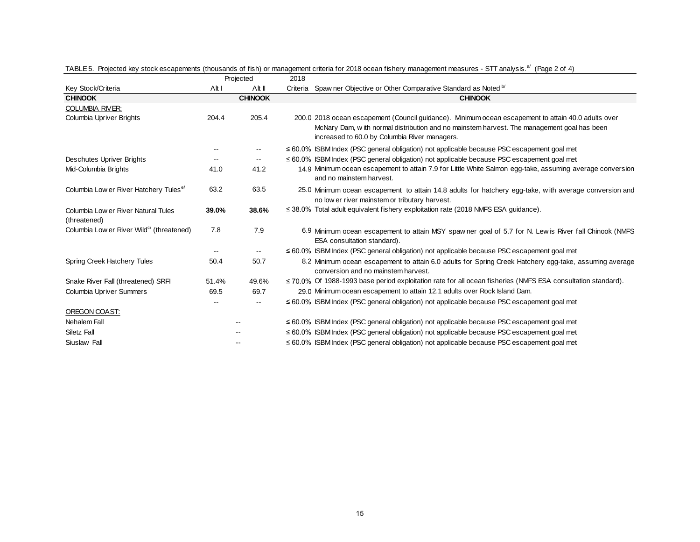|                                                       |       | Projected                | 2018 |                                                                                                                                                                                                                                                    |
|-------------------------------------------------------|-------|--------------------------|------|----------------------------------------------------------------------------------------------------------------------------------------------------------------------------------------------------------------------------------------------------|
| Key Stock/Criteria                                    | Alt I | Alt II                   |      | Criteria Spaw ner Objective or Other Comparative Standard as Noted b/                                                                                                                                                                              |
| <b>CHINOOK</b>                                        |       | <b>CHINOOK</b>           |      | <b>CHINOOK</b>                                                                                                                                                                                                                                     |
| <b>COLUMBIA RIVER:</b>                                |       |                          |      |                                                                                                                                                                                                                                                    |
| Columbia Upriver Brights                              | 204.4 | 205.4                    |      | 200.0 2018 ocean escapement (Council quidance). Minimum ocean escapement to attain 40.0 adults over<br>McNary Dam, with normal distribution and no mainstem harvest. The management goal has been<br>increased to 60.0 by Columbia River managers. |
|                                                       |       | --                       |      | $\leq 60.0\%$ ISBM Index (PSC general obligation) not applicable because PSC escapement goal met                                                                                                                                                   |
| Deschutes Upriver Brights                             |       | $\overline{\phantom{a}}$ |      | $\leq 60.0\%$ ISBM Index (PSC general obligation) not applicable because PSC escapement goal met                                                                                                                                                   |
| Mid-Columbia Brights                                  | 41.0  | 41.2                     |      | 14.9 Minimum ocean escapement to attain 7.9 for Little White Salmon egg-take, assuming average conversion<br>and no mainstem harvest.                                                                                                              |
| Columbia Low er River Hatchery Tules <sup>e/</sup>    | 63.2  | 63.5                     |      | 25.0 Minimum ocean escapement to attain 14.8 adults for hatchery egg-take, with average conversion and<br>no low er river mainstem or tributary harvest.                                                                                           |
| Columbia Low er River Natural Tules<br>(threatened)   | 39.0% | 38.6%                    |      | $\leq$ 38.0% Total adult equivalent fishery exploitation rate (2018 NMFS ESA guidance).                                                                                                                                                            |
| Columbia Low er River Wild <sup>c/</sup> (threatened) | 7.8   | 7.9                      |      | 6.9 Minimum ocean escapement to attain MSY spaw ner goal of 5.7 for N. Lew is River fall Chinook (NMFS<br>ESA consultation standard).                                                                                                              |
|                                                       |       | $\overline{\phantom{a}}$ |      | $\leq 60.0\%$ ISBM Index (PSC general obligation) not applicable because PSC escapement goal met                                                                                                                                                   |
| Spring Creek Hatchery Tules                           | 50.4  | 50.7                     |      | 8.2 Minimum ocean escapement to attain 6.0 adults for Spring Creek Hatchery egg-take, assuming average<br>conversion and no mainstem harvest.                                                                                                      |
| Snake River Fall (threatened) SRFI                    | 51.4% | 49.6%                    |      | $\leq$ 70.0% Of 1988-1993 base period exploitation rate for all ocean fisheries (NMFS ESA consultation standard).                                                                                                                                  |
| Columbia Upriver Summers                              | 69.5  | 69.7                     |      | 29.0 Minimum ocean escapement to attain 12.1 adults over Rock Island Dam.                                                                                                                                                                          |
|                                                       |       |                          |      | $\leq 60.0\%$ ISBM Index (PSC general obligation) not applicable because PSC escapement goal met                                                                                                                                                   |
| OREGON COAST:                                         |       |                          |      |                                                                                                                                                                                                                                                    |
| Nehalem Fall                                          |       |                          |      | $\leq 60.0\%$ ISBM Index (PSC general obligation) not applicable because PSC escapement goal met                                                                                                                                                   |
| Siletz Fall                                           |       |                          |      | $\leq 60.0\%$ ISBM Index (PSC general obligation) not applicable because PSC escapement goal met                                                                                                                                                   |
| Siuslaw Fall                                          |       |                          |      | ≤ 60.0% ISBM Index (PSC general obligation) not applicable because PSC escapement goal met                                                                                                                                                         |

TABLE 5. Projected key stock escapements (thousands of fish) or management criteria for 2018 ocean fishery management measures - STT analysis.<sup>a/</sup> (Page 2 of 4)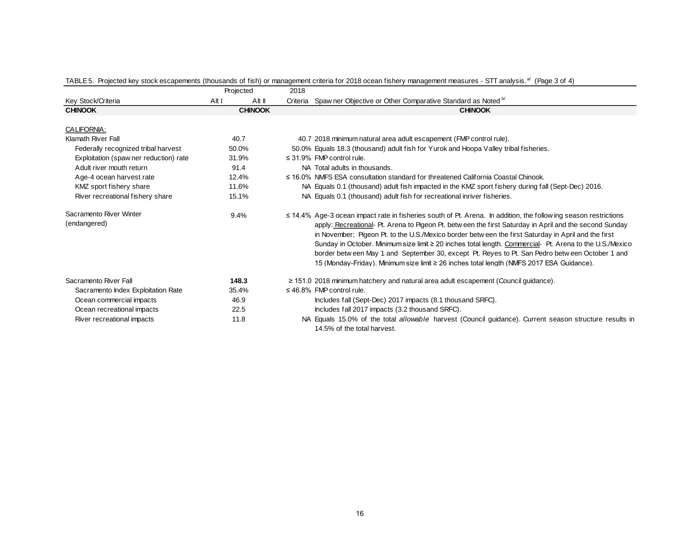|                                         |       | Projected      | 2018 |                                                                                                                                                                                                                                                                                                                                                                                                                                                                                                                                                                                                                                                      |
|-----------------------------------------|-------|----------------|------|------------------------------------------------------------------------------------------------------------------------------------------------------------------------------------------------------------------------------------------------------------------------------------------------------------------------------------------------------------------------------------------------------------------------------------------------------------------------------------------------------------------------------------------------------------------------------------------------------------------------------------------------------|
| Key Stock/Criteria                      | Alt I | Alt II         |      | Criteria Spaw ner Objective or Other Comparative Standard as Noted b                                                                                                                                                                                                                                                                                                                                                                                                                                                                                                                                                                                 |
| <b>CHINOOK</b>                          |       | <b>CHINOOK</b> |      | <b>CHINOOK</b>                                                                                                                                                                                                                                                                                                                                                                                                                                                                                                                                                                                                                                       |
|                                         |       |                |      |                                                                                                                                                                                                                                                                                                                                                                                                                                                                                                                                                                                                                                                      |
| CALIFORNIA:                             |       |                |      |                                                                                                                                                                                                                                                                                                                                                                                                                                                                                                                                                                                                                                                      |
| Klamath River Fall                      |       | 40.7           |      | 40.7 2018 minimum natural area adult escapement (FMP control rule).                                                                                                                                                                                                                                                                                                                                                                                                                                                                                                                                                                                  |
| Federally recognized tribal harvest     |       | 50.0%          |      | 50.0% Equals 18.3 (thousand) adult fish for Yurok and Hoopa Valley tribal fisheries.                                                                                                                                                                                                                                                                                                                                                                                                                                                                                                                                                                 |
| Exploitation (spaw ner reduction) rate  |       | 31.9%          |      | $\leq$ 31.9% FMP control rule.                                                                                                                                                                                                                                                                                                                                                                                                                                                                                                                                                                                                                       |
| Adult river mouth return                |       | 91.4           |      | NA Total adults in thousands.                                                                                                                                                                                                                                                                                                                                                                                                                                                                                                                                                                                                                        |
| Age-4 ocean harvest rate                |       | 12.4%          |      | $\leq$ 16.0% NMFS ESA consultation standard for threatened California Coastal Chinook.                                                                                                                                                                                                                                                                                                                                                                                                                                                                                                                                                               |
| KMZ sport fishery share                 |       | 11.6%          |      | NA Equals 0.1 (thousand) adult fish impacted in the KMZ sport fishery during fall (Sept-Dec) 2016.                                                                                                                                                                                                                                                                                                                                                                                                                                                                                                                                                   |
| River recreational fishery share        |       | 15.1%          |      | NA Equals 0.1 (thousand) adult fish for recreational inriver fisheries.                                                                                                                                                                                                                                                                                                                                                                                                                                                                                                                                                                              |
| Sacramento River Winter<br>(endangered) |       | 9.4%           |      | $\leq$ 14.4% Age-3 ocean impact rate in fisheries south of Pt. Arena. In addition, the follow ing season restrictions<br>apply: Recreational- Pt. Arena to Pigeon Pt. betw een the first Saturday in April and the second Sunday<br>in November; Pigeon Pt. to the U.S./Mexico border between the first Saturday in April and the first<br>Sunday in October. Minimum size limit ≥ 20 inches total length. Commercial- Pt. Arena to the U.S./Mexico<br>border betw een May 1 and September 30, except Pt. Reyes to Pt. San Pedro betw een October 1 and<br>15 (Monday-Friday). Minimum size limit ≥ 26 inches total length (NMFS 2017 ESA Guidance). |
| Sacramento River Fall                   |       | 148.3          |      | $\geq$ 151.0 2018 minimum hatchery and natural area adult escapement (Council guidance).                                                                                                                                                                                                                                                                                                                                                                                                                                                                                                                                                             |
| Sacramento Index Exploitation Rate      |       | 35.4%          |      | $\leq$ 46.8% FMP control rule.                                                                                                                                                                                                                                                                                                                                                                                                                                                                                                                                                                                                                       |
| Ocean commercial impacts                |       | 46.9           |      | Includes fall (Sept-Dec) 2017 impacts (8.1 thousand SRFC).                                                                                                                                                                                                                                                                                                                                                                                                                                                                                                                                                                                           |
| Ocean recreational impacts              |       | 22.5           |      | Includes fall 2017 impacts (3.2 thousand SRFC).                                                                                                                                                                                                                                                                                                                                                                                                                                                                                                                                                                                                      |
| River recreational impacts              |       | 11.8           |      | NA Equals 15.0% of the total <i>allowable</i> harvest (Council guidance). Current season structure results in<br>14.5% of the total harvest.                                                                                                                                                                                                                                                                                                                                                                                                                                                                                                         |

## TABLE 5. Projected key stock escapements (thousands of fish) or management criteria for 2018 ocean fishery management measures - STT analysis.<sup>a/</sup> (Page 3 of 4)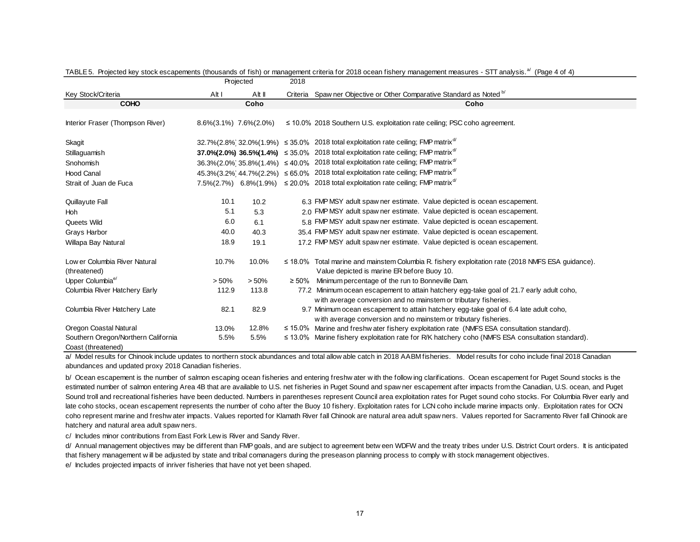|                                               |       | Projected                     | 2018     |                                                                                                                                                             |  |  |  |  |  |  |  |  |
|-----------------------------------------------|-------|-------------------------------|----------|-------------------------------------------------------------------------------------------------------------------------------------------------------------|--|--|--|--|--|--|--|--|
| Key Stock/Criteria                            | Alt I | Alt II                        | Criteria | Spaw ner Objective or Other Comparative Standard as Noted b/                                                                                                |  |  |  |  |  |  |  |  |
| <b>COHO</b>                                   |       | Coho                          |          | Coho                                                                                                                                                        |  |  |  |  |  |  |  |  |
| Interior Fraser (Thompson River)              |       | $8.6\%(3.1\%)$ 7.6% $(2.0\%)$ |          | $\leq$ 10.0% 2018 Southern U.S. exploitation rate ceiling; PSC coho agreement.                                                                              |  |  |  |  |  |  |  |  |
| Skagit                                        |       |                               |          | 32.7% (2.8% 32.0% (1.9%) $\leq$ 35.0% 2018 total exploitation rate ceiling; FMP matrix <sup>d/</sup>                                                        |  |  |  |  |  |  |  |  |
| Stillaguamish                                 |       |                               |          | 37.0%(2.0%) 36.5%(1.4%) $\leq$ 35.0% 2018 total exploitation rate ceiling; FMP matrix <sup>d/</sup>                                                         |  |  |  |  |  |  |  |  |
| Snohomish                                     |       |                               |          | 36.3%(2.0%) 35.8%(1.4%) $\leq 40.0\%$ 2018 total exploitation rate ceiling; FMP matrix <sup>d/</sup>                                                        |  |  |  |  |  |  |  |  |
| <b>Hood Canal</b>                             |       |                               |          | 45.3% (3.2%) 44.7% (2.2%) ≤ 65.0% 2018 total exploitation rate ceiling; FMP matrix <sup>d/</sup>                                                            |  |  |  |  |  |  |  |  |
| Strait of Juan de Fuca                        |       |                               |          | 7.5%(2.7%) 6.8%(1.9%) $\leq$ 20.0% 2018 total exploitation rate ceiling; FMP matrix <sup>d/</sup>                                                           |  |  |  |  |  |  |  |  |
| Quillayute Fall                               | 10.1  | 10.2                          |          | 6.3 FMP MSY adult spaw ner estimate. Value depicted is ocean escapement.                                                                                    |  |  |  |  |  |  |  |  |
| <b>Hoh</b>                                    | 5.1   | 5.3                           |          | 2.0 FMP MSY adult spaw ner estimate. Value depicted is ocean escapement.                                                                                    |  |  |  |  |  |  |  |  |
| Queets Wild                                   | 6.0   | 6.1                           |          | 5.8 FMP MSY adult spaw ner estimate. Value depicted is ocean escapement.                                                                                    |  |  |  |  |  |  |  |  |
| Grays Harbor                                  | 40.0  | 40.3                          |          | 35.4 FMP MSY adult spaw ner estimate. Value depicted is ocean escapement.                                                                                   |  |  |  |  |  |  |  |  |
| Willapa Bay Natural                           | 18.9  | 19.1                          |          | 17.2 FMP MSY adult spaw ner estimate. Value depicted is ocean escapement.                                                                                   |  |  |  |  |  |  |  |  |
| Low er Columbia River Natural<br>(threatened) | 10.7% | 10.0%                         |          | $\leq$ 18.0% Total marine and mainstem Columbia R. fishery exploitation rate (2018 NMFS ESA guidance).<br>Value depicted is marine ER before Buoy 10.       |  |  |  |  |  |  |  |  |
| Upper Columbia <sup>e</sup>                   | > 50% | > 50%                         |          | $\geq$ 50% Minimum percentage of the run to Bonneville Dam.                                                                                                 |  |  |  |  |  |  |  |  |
| Columbia River Hatchery Early                 | 112.9 | 113.8                         |          | 77.2 Minimum ocean escapement to attain hatchery egg-take goal of 21.7 early adult coho,<br>with average conversion and no mainstem or tributary fisheries. |  |  |  |  |  |  |  |  |
| Columbia River Hatchery Late                  | 82.1  | 82.9                          |          | 9.7 Minimum ocean escapement to attain hatchery egg-take goal of 6.4 late adult coho,<br>with average conversion and no mainstem or tributary fisheries.    |  |  |  |  |  |  |  |  |
| Oregon Coastal Natural                        | 13.0% | 12.8%                         |          | $\leq$ 15.0% Marine and freshw ater fishery exploitation rate (NMFS ESA consultation standard).                                                             |  |  |  |  |  |  |  |  |
| Southern Oregon/Northern California           | 5.5%  | 5.5%                          |          | $\leq$ 13.0% Marine fishery exploitation rate for R/K hatchery coho (NMFS ESA consultation standard).                                                       |  |  |  |  |  |  |  |  |
| Coast (threatened)                            |       |                               |          |                                                                                                                                                             |  |  |  |  |  |  |  |  |

|  |  |  | TABLE 5. Projected key stock escapements (thousands of fish) or management criteria for 2018 ocean fishery management measures - STT analysis. <sup>a'</sup> (Page 4 of 4) |  |  |
|--|--|--|----------------------------------------------------------------------------------------------------------------------------------------------------------------------------|--|--|
|  |  |  |                                                                                                                                                                            |  |  |

a/ Model results for Chinook include updates to northern stock abundances and total allow able catch in 2018 AABM fisheries. Model results for coho include final 2018 Canadian abundances and updated proxy 2018 Canadian fisheries.

b/ Ocean escapement is the number of salmon escaping ocean fisheries and entering freshw ater with the follow ing clarifications. Ocean escapement for Puget Sound stocks is the estimated number of salmon entering Area 4B that are available to U.S. net fisheries in Puget Sound and spaw ner escapement after impacts from the Canadian, U.S. ocean, and Puget Sound troll and recreational fisheries have been deducted. Numbers in parentheses represent Council area exploitation rates for Puget sound coho stocks. For Columbia River early and late coho stocks, ocean escapement represents the number of coho after the Buoy 10 fishery. Exploitation rates for LCN coho include marine impacts only. Exploitation rates for OCN coho represent marine and freshw ater impacts. Values reported for Klamath River fall Chinook are natural area adult spaw ners. Values reported for Sacramento River fall Chinook are hatchery and natural area adult spaw ners.

c/ Includes minor contributions from East Fork Lew is River and Sandy River.

d/ Annual management objectives may be different than FMP goals, and are subject to agreement betw een WDFW and the treaty tribes under U.S. District Court orders. It is anticipated that fishery management w ill be adjusted by state and tribal comanagers during the preseason planning process to comply w ith stock management objectives.

e/ Includes projected impacts of inriver fisheries that have not yet been shaped.